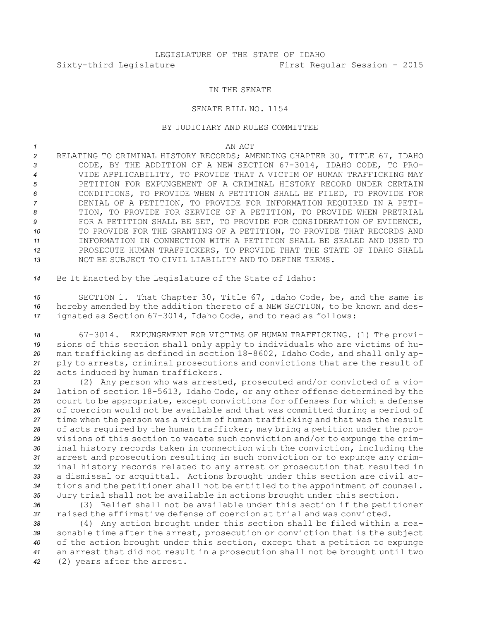## IN THE SENATE

## SENATE BILL NO. 1154

## BY JUDICIARY AND RULES COMMITTEE

*1* AN ACT

- *<sup>2</sup>* RELATING TO CRIMINAL HISTORY RECORDS; AMENDING CHAPTER 30, TITLE 67, IDAHO *<sup>3</sup>* CODE, BY THE ADDITION OF A NEW SECTION 67-3014, IDAHO CODE, TO PRO-*4* VIDE APPLICABILITY, TO PROVIDE THAT A VICTIM OF HUMAN TRAFFICKING MAY *5* PETITION FOR EXPUNGEMENT OF A CRIMINAL HISTORY RECORD UNDER CERTAIN *6* CONDITIONS, TO PROVIDE WHEN A PETITION SHALL BE FILED, TO PROVIDE FOR *7* DENIAL OF A PETITION, TO PROVIDE FOR INFORMATION REQUIRED IN A PETI-*8* TION, TO PROVIDE FOR SERVICE OF A PETITION, TO PROVIDE WHEN PRETRIAL **9** FOR A PETITION SHALL BE SET, TO PROVIDE FOR CONSIDERATION OF EVIDENCE, *10* TO PROVIDE FOR THE GRANTING OF A PETITION, TO PROVIDE THAT RECORDS AND *11* INFORMATION IN CONNECTION WITH A PETITION SHALL BE SEALED AND USED TO *12* PROSECUTE HUMAN TRAFFICKERS, TO PROVIDE THAT THE STATE OF IDAHO SHALL *13* NOT BE SUBJECT TO CIVIL LIABILITY AND TO DEFINE TERMS.
- *<sup>14</sup>* Be It Enacted by the Legislature of the State of Idaho:

*<sup>15</sup>* SECTION 1. That Chapter 30, Title 67, Idaho Code, be, and the same is *<sup>16</sup>* hereby amended by the addition thereto of <sup>a</sup> NEW SECTION, to be known and des-*<sup>17</sup>* ignated as Section 67-3014, Idaho Code, and to read as follows:

 67-3014. EXPUNGEMENT FOR VICTIMS OF HUMAN TRAFFICKING. (1) The provi- sions of this section shall only apply to individuals who are victims of hu- man trafficking as defined in section 18-8602, Idaho Code, and shall only ap- ply to arrests, criminal prosecutions and convictions that are the result of acts induced by human traffickers.

 (2) Any person who was arrested, prosecuted and/or convicted of <sup>a</sup> vio- lation of section 18-5613, Idaho Code, or any other offense determined by the court to be appropriate, except convictions for offenses for which <sup>a</sup> defense of coercion would not be available and that was committed during <sup>a</sup> period of time when the person was <sup>a</sup> victim of human trafficking and that was the result of acts required by the human trafficker, may bring <sup>a</sup> petition under the pro- visions of this section to vacate such conviction and/or to expunge the crim- inal history records taken in connection with the conviction, including the arrest and prosecution resulting in such conviction or to expunge any crim- inal history records related to any arrest or prosecution that resulted in <sup>a</sup> dismissal or acquittal. Actions brought under this section are civil ac- tions and the petitioner shall not be entitled to the appointment of counsel. Jury trial shall not be available in actions brought under this section.

*<sup>36</sup>* (3) Relief shall not be available under this section if the petitioner *37* raised the affirmative defense of coercion at trial and was convicted.

 (4) Any action brought under this section shall be filed within <sup>a</sup> rea- sonable time after the arrest, prosecution or conviction that is the subject of the action brought under this section, except that <sup>a</sup> petition to expunge an arrest that did not result in <sup>a</sup> prosecution shall not be brought until two (2) years after the arrest.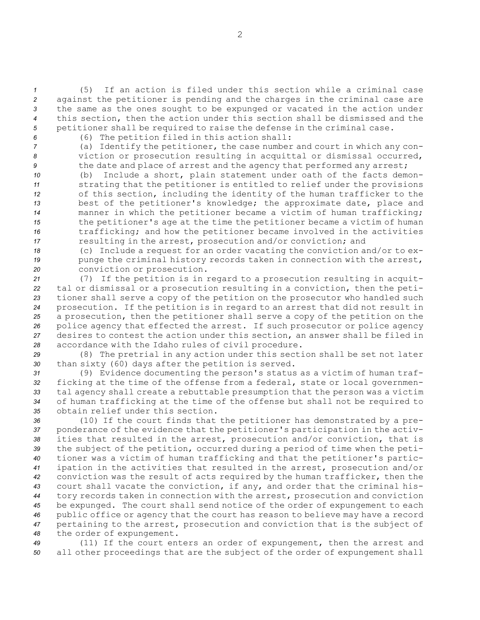(5) If an action is filed under this section while <sup>a</sup> criminal case against the petitioner is pending and the charges in the criminal case are the same as the ones sought to be expunged or vacated in the action under this section, then the action under this section shall be dismissed and the petitioner shall be required to raise the defense in the criminal case.

*<sup>6</sup>* (6) The petition filed in this action shall:

*<sup>7</sup>* (a) Identify the petitioner, the case number and court in which any con-*<sup>8</sup>* viction or prosecution resulting in acquittal or dismissal occurred, 9 the date and place of arrest and the agency that performed any arrest;

 (b) Include <sup>a</sup> short, plain statement under oath of the facts demon- strating that the petitioner is entitled to relief under the provisions of this section, including the identity of the human trafficker to the best of the petitioner's knowledge; the approximate date, place and manner in which the petitioner became <sup>a</sup> victim of human trafficking; the petitioner's age at the time the petitioner became <sup>a</sup> victim of human trafficking; and how the petitioner became involved in the activities resulting in the arrest, prosecution and/or conviction; and

*<sup>18</sup>* (c) Include <sup>a</sup> request for an order vacating the conviction and/or to ex-19 punge the criminal history records taken in connection with the arrest, *<sup>20</sup>* conviction or prosecution.

 (7) If the petition is in regard to <sup>a</sup> prosecution resulting in acquit- tal or dismissal or <sup>a</sup> prosecution resulting in <sup>a</sup> conviction, then the peti- tioner shall serve <sup>a</sup> copy of the petition on the prosecutor who handled such prosecution. If the petition is in regard to an arrest that did not result in <sup>a</sup> prosecution, then the petitioner shall serve <sup>a</sup> copy of the petition on the police agency that effected the arrest. If such prosecutor or police agency desires to contest the action under this section, an answer shall be filed in accordance with the Idaho rules of civil procedure.

*<sup>29</sup>* (8) The pretrial in any action under this section shall be set not later *<sup>30</sup>* than sixty (60) days after the petition is served.

 (9) Evidence documenting the person's status as <sup>a</sup> victim of human traf- ficking at the time of the offense from <sup>a</sup> federal, state or local governmen- tal agency shall create <sup>a</sup> rebuttable presumption that the person was <sup>a</sup> victim of human trafficking at the time of the offense but shall not be required to obtain relief under this section.

 (10) If the court finds that the petitioner has demonstrated by <sup>a</sup> pre- ponderance of the evidence that the petitioner's participation in the activ- ities that resulted in the arrest, prosecution and/or conviction, that is the subject of the petition, occurred during <sup>a</sup> period of time when the peti- tioner was <sup>a</sup> victim of human trafficking and that the petitioner's partic- ipation in the activities that resulted in the arrest, prosecution and/or conviction was the result of acts required by the human trafficker, then the court shall vacate the conviction, if any, and order that the criminal his- tory records taken in connection with the arrest, prosecution and conviction be expunged. The court shall send notice of the order of expungement to each public office or agency that the court has reason to believe may have <sup>a</sup> record pertaining to the arrest, prosecution and conviction that is the subject of the order of expungement.

*<sup>49</sup>* (11) If the court enters an order of expungement, then the arrest and *<sup>50</sup>* all other proceedings that are the subject of the order of expungement shall